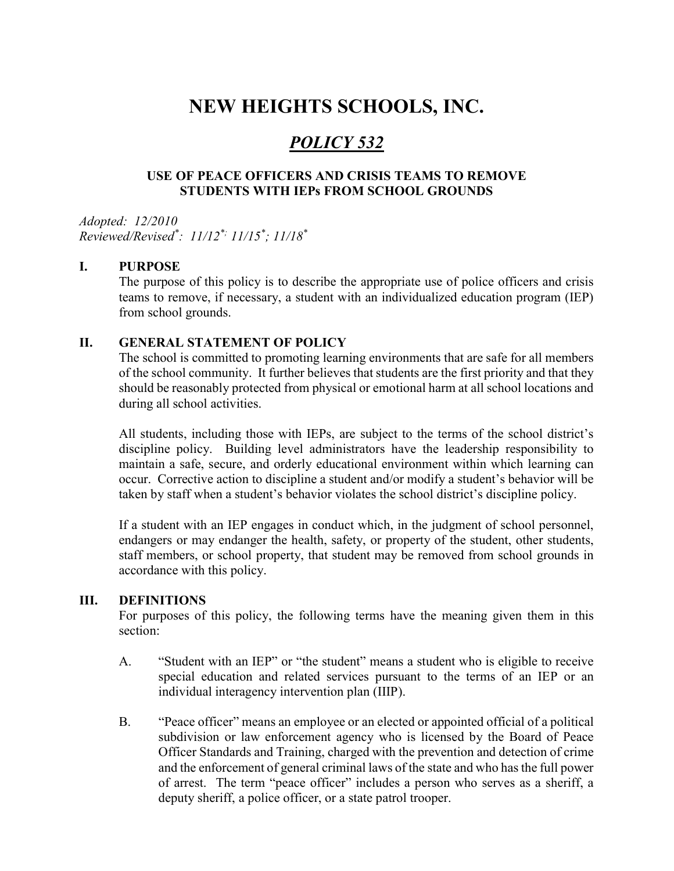# NEW HEIGHTS SCHOOLS, INC.

# POLICY 532

### USE OF PEACE OFFICERS AND CRISIS TEAMS TO REMOVE STUDENTS WITH IEPs FROM SCHOOL GROUNDS

Adopted: 12/2010 Reviewed/Revised\* : 11/12\*; 11/15\* ; 11/18\*

#### I. PURPOSE

The purpose of this policy is to describe the appropriate use of police officers and crisis teams to remove, if necessary, a student with an individualized education program (IEP) from school grounds.

#### II. GENERAL STATEMENT OF POLICY

The school is committed to promoting learning environments that are safe for all members of the school community. It further believes that students are the first priority and that they should be reasonably protected from physical or emotional harm at all school locations and during all school activities.

All students, including those with IEPs, are subject to the terms of the school district's discipline policy. Building level administrators have the leadership responsibility to maintain a safe, secure, and orderly educational environment within which learning can occur. Corrective action to discipline a student and/or modify a student's behavior will be taken by staff when a student's behavior violates the school district's discipline policy.

If a student with an IEP engages in conduct which, in the judgment of school personnel, endangers or may endanger the health, safety, or property of the student, other students, staff members, or school property, that student may be removed from school grounds in accordance with this policy.

#### III. DEFINITIONS

For purposes of this policy, the following terms have the meaning given them in this section:

- A. "Student with an IEP" or "the student" means a student who is eligible to receive special education and related services pursuant to the terms of an IEP or an individual interagency intervention plan (IIIP).
- B. "Peace officer" means an employee or an elected or appointed official of a political subdivision or law enforcement agency who is licensed by the Board of Peace Officer Standards and Training, charged with the prevention and detection of crime and the enforcement of general criminal laws of the state and who has the full power of arrest. The term "peace officer" includes a person who serves as a sheriff, a deputy sheriff, a police officer, or a state patrol trooper.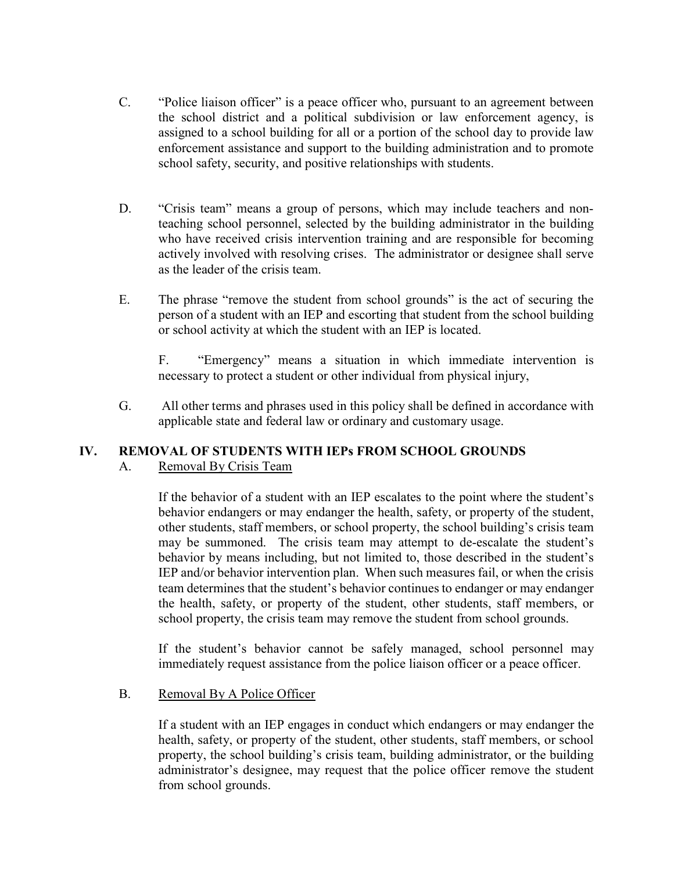- C. "Police liaison officer" is a peace officer who, pursuant to an agreement between the school district and a political subdivision or law enforcement agency, is assigned to a school building for all or a portion of the school day to provide law enforcement assistance and support to the building administration and to promote school safety, security, and positive relationships with students.
- D. "Crisis team" means a group of persons, which may include teachers and nonteaching school personnel, selected by the building administrator in the building who have received crisis intervention training and are responsible for becoming actively involved with resolving crises. The administrator or designee shall serve as the leader of the crisis team.
- E. The phrase "remove the student from school grounds" is the act of securing the person of a student with an IEP and escorting that student from the school building or school activity at which the student with an IEP is located.

 F. "Emergency" means a situation in which immediate intervention is necessary to protect a student or other individual from physical injury,

G. All other terms and phrases used in this policy shall be defined in accordance with applicable state and federal law or ordinary and customary usage.

#### IV. REMOVAL OF STUDENTS WITH IEPs FROM SCHOOL GROUNDS A. Removal By Crisis Team

If the behavior of a student with an IEP escalates to the point where the student's behavior endangers or may endanger the health, safety, or property of the student, other students, staff members, or school property, the school building's crisis team may be summoned. The crisis team may attempt to de-escalate the student's behavior by means including, but not limited to, those described in the student's IEP and/or behavior intervention plan. When such measures fail, or when the crisis team determines that the student's behavior continues to endanger or may endanger the health, safety, or property of the student, other students, staff members, or school property, the crisis team may remove the student from school grounds.

 If the student's behavior cannot be safely managed, school personnel may immediately request assistance from the police liaison officer or a peace officer.

#### B. Removal By A Police Officer

 If a student with an IEP engages in conduct which endangers or may endanger the health, safety, or property of the student, other students, staff members, or school property, the school building's crisis team, building administrator, or the building administrator's designee, may request that the police officer remove the student from school grounds.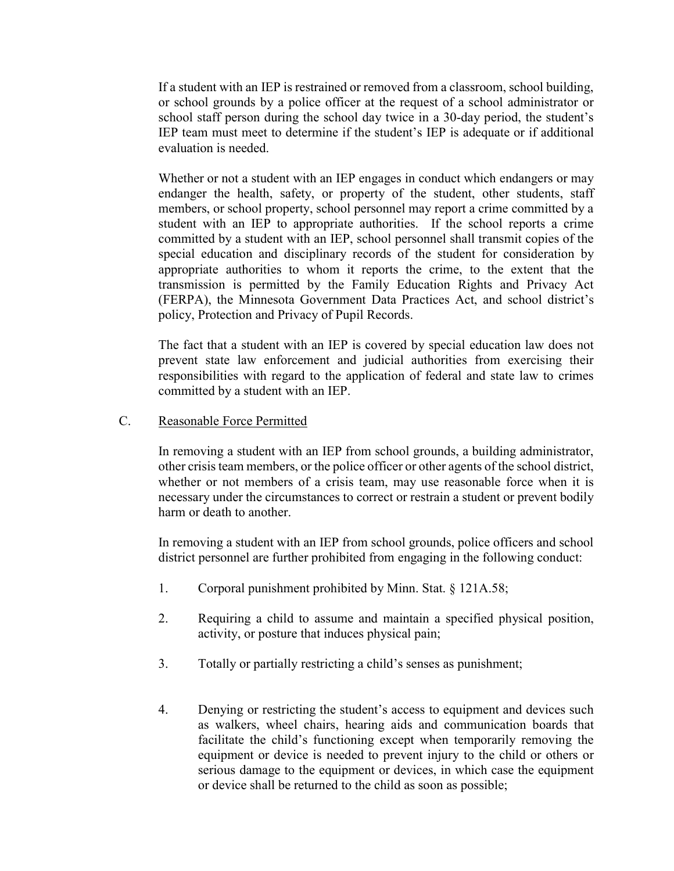If a student with an IEP is restrained or removed from a classroom, school building, or school grounds by a police officer at the request of a school administrator or school staff person during the school day twice in a 30-day period, the student's IEP team must meet to determine if the student's IEP is adequate or if additional evaluation is needed.

 Whether or not a student with an IEP engages in conduct which endangers or may endanger the health, safety, or property of the student, other students, staff members, or school property, school personnel may report a crime committed by a student with an IEP to appropriate authorities. If the school reports a crime committed by a student with an IEP, school personnel shall transmit copies of the special education and disciplinary records of the student for consideration by appropriate authorities to whom it reports the crime, to the extent that the transmission is permitted by the Family Education Rights and Privacy Act (FERPA), the Minnesota Government Data Practices Act, and school district's policy, Protection and Privacy of Pupil Records.

 The fact that a student with an IEP is covered by special education law does not prevent state law enforcement and judicial authorities from exercising their responsibilities with regard to the application of federal and state law to crimes committed by a student with an IEP.

#### C. Reasonable Force Permitted

In removing a student with an IEP from school grounds, a building administrator, other crisis team members, or the police officer or other agents of the school district, whether or not members of a crisis team, may use reasonable force when it is necessary under the circumstances to correct or restrain a student or prevent bodily harm or death to another.

In removing a student with an IEP from school grounds, police officers and school district personnel are further prohibited from engaging in the following conduct:

- 1. Corporal punishment prohibited by Minn. Stat. § 121A.58;
- 2. Requiring a child to assume and maintain a specified physical position, activity, or posture that induces physical pain;
- 3. Totally or partially restricting a child's senses as punishment;
- 4. Denying or restricting the student's access to equipment and devices such as walkers, wheel chairs, hearing aids and communication boards that facilitate the child's functioning except when temporarily removing the equipment or device is needed to prevent injury to the child or others or serious damage to the equipment or devices, in which case the equipment or device shall be returned to the child as soon as possible;